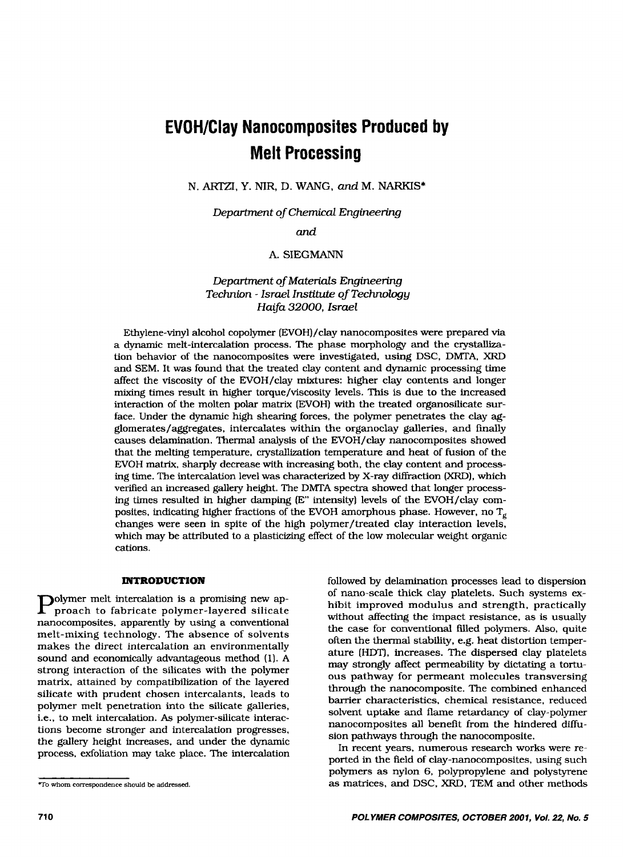# **EVOH/Clay Nanocomposites Produced by Melt Processing**

**N.** *AHzn[, Y.* **NIR,** D. **WANG,** andM. **NARKIS\*** 

*Department of Chemical Engineering* 

*and* 

#### **A. SIEGMANN**

# *Department of* **Materials** *Engineering Technion* - Israel Institute *of Technology Hags 32000,* Israel

Ethylene-vinyl alcohol copolymer (EVOH)/clay nanocomposites were prepared via a dynamic melt-intercalation process. The phase morphology and the crystallization behavior of the nanocomposites were investigated, using **DSC, DMTA,** XRD and SEM. It was found that the treated clay content and dynamic processing time affect the viscosity of the EVOH/clay mixtures: higher clay contents and longer mixing times result in higher torque/viscosity levels. This is due to the increased interaction of the molten polar matrix (EVOH) with the treated organosilicate surface. Under the dynamic high shearing forces, the polymer penetrates the clay *ag*glomerates/aggregates, intercalates within the organoclay galleries, and finally causes delamination. Thermal analysis of the EVOH/clay nanocomposites showed that the melting temperature, crystallization temperature and heat of fusion of the EVOH matrix, sharply decrease with increasing both, the clay content and processing time. The intercalation level was characterized by X-ray diffraction (XRD), which verified an increased gallery height. The **DMTA** spectra showed that longer processing times resulted in higher damping (E' intensity] levels of the EVOH/clay composites, indicating higher fractions of the EVOH amorphous phase. However, no  $T_g$ changes were seen in spite of the high polymer/treated clay interaction levels, which may be attributed to a plasticizing effect of the low molecular weight organic cations.

#### **INTRODUCTION**

 $\mathbf{P}$ olymer melt intercalation is a promising new approach to fabricate polymer-layered silicate nanocomposites, apparently by using a conventional melt-mixing technology. The absence of solvents makes the direct intercalation an environmentally sound and economically advantageous method **(11. A**  strong interaction of the silicates with the polymer matrix, attained by compatibilization of the layered silicate with prudent chosen intercalants, leads to polymer melt penetration into the silicate galleries, i.e., to melt intercalation. **As** polymer-silicate interactions become stronger and intercalation progresses, the gallery height increases. and under the dynamic process, exfoliation may take place. The intercalation followed by delamination processes lead to dispersion **of** nano-scale thick clay platelets. Such systems *ex*hibit improved modulus and strength, practically without affecting the impact resistance, as is usually the case for conventional filled polymers. Also, quite often the thermal stability, e.g. heat distortion temperature (IIDT), increases. The dispersed clay platelets may strongly affect permeability by dictating a tortuous pathway for permeant molecules transversing through the nanocomposite. The combined enhanced barrier characteristics, chemical resistance, reduced solvent uptake and flame retardancy of clay-polymer nanocomposites **all** benefit from the hindered diffusion pathways through the nanocomposite.

In recent years, numerous research works were reported in the field of clay-nanocomposites, using such polymers as nylon **6,** polypropylene and polystyrene **as** matrices, and DSC, XRD, TEM and other methods

**To whom correspondence should be addressed**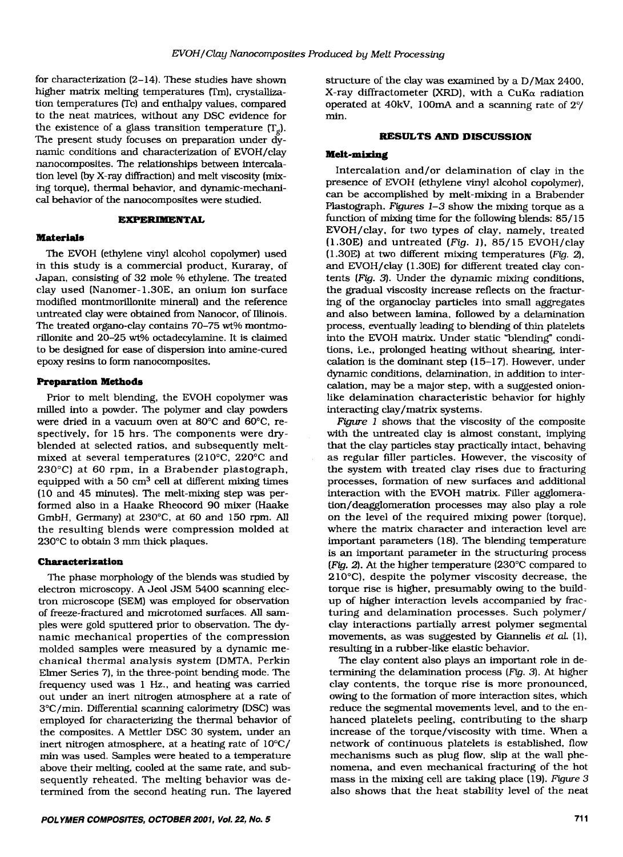for characterization (2-14). These studies have shown higher matrix melting temperatures (Tm), crystallization temperatures (Tc) and enthalpy values, compared to the neat matrices, without any DSC evidence for the existence of a glass transition temperature  $(T<sub>a</sub>)$ . The present study focuses on preparation under dynamic conditions and characterization of EVOH/clay nanocomposites. The relationships between intercalation level (by X-ray diffraction) and melt viscosity (mixing torque), thermal behavior, and dynamic-mechanical behavior of the nanocomposites were studied.

### **EXPERIMENTAL**

#### **Materials**

The EVOH (ethylene vinyl alcohol copolymer) used in this study is a commercial product, Kuraray, of Japan, consisting of 32 mole % ethylene. The treated clay used (Nanomer-1.30E, an onium ion surface modified montmorillonite mineral) and the reference untreated clay were obtained from Nanocor, **of** Illinois. The treated organo-clay contains 70-75 **wt%** montmorillonite and 20-25 wt% octadecylamine. It is claimed to be designed for ease **of** dispersion into amine-cured epoxy resins to form nanocomposites.

## **Preparation Methods**

Prior to melt blending, the EVOH copolymer was milled into a powder. The polymer and clay powders were dried in a vacuum oven at 80°C and 60"C, respectively, for 15 hrs. The components were dryblended at selected ratios, and subsequently meltmixed at several temperatures (210°C. 220°C and 230°C) at 60 rpm, in a Brabender plastograph, equipped with a 50 cm3 cell at different mixing times (10 and 45 minutes). The melt-mixing step was performed also in a Haake Rheocord 90 mixer (Haake GmbH, Germany) at 230°C. at 60 and 150 rpm. *All*  the resulting blends were compression molded at 230°C to obtain 3 mm thick plaques.

#### **Characterization**

The phase morphology of the blends was studied by electron microscopy. A Jeol JSM *5400* scanning electron microscope (SEM) was employed for observation of freeze-fractured and microtomed surfaces. *All* samples were gold sputtered prior to observation. The dynamic mechanical properties of the compression molded samples were measured by a dynamic mechanical thermal analysis system (DMTA, Perkin Elmer Series 7), in the three-point bending mode. The frequency used was 1 *Hz.,* and heating was carried out under an inert nitrogen atmosphere at a rate of 3"C/min. Differential scanning calorimetry (DSC) was employed for characterizing the thermal behavior of the composites. A Mettler DSC 30 system, under an inert nitrogen atmosphere, at a heating rate of 10°C/ min was used. Samples were heated to a temperature above their melting, cooled at the same rate, and subsequently reheated. The melting behavior was determined from the second heating run. The layered structure of the clay was examined by a D/Max 2400, X-ray diffractometer (XRD), with a CuK $\alpha$  radiation operated at 40kV, lOOmA and a scanning rate **of** 2"/ min.

## **RESULTS** *AND* **DISCUSSION**

#### **Melt-miring**

Intercalation and/or delamination of clay in the presence of EVOH (ethylene vinyl alcohol copolymer), can be accomplished by melt-mixing in a Brabender Plastograph. *Figures 1-3* show the mixing torque as a function of mixing time for the following blends: 85/ 15 EVOH/clay, for two types of clay, namely, treated **(1.30E)** and untreated *(Fig. I),* 85/15 EVOH/clay (1.30E) at two different mixing temperatures *(Fig. Z),*  and EVOH/clay (1.30E) for different treated clay contents *(Rg.* **3).** Under the dynamic mixing conditions, the gradual viscosity increase reflects on the fracturing of the organoclay particles into small aggregates and also between lamina, followed by a delamination process, eventually leading to blending of thin platelets into the EVOH matrix. Under static "blending" conditions, i.e., prolonged heating without shearing, intercalation is the dominant step  $(15-17)$ . However, under dynamic conditions, delamination, in addition to intercalation, may be a major step, with a suggested onionlike delamination characteristic behavior for highly interacting clay/matrix systems.

*FLgure 1* shows that the viscosity **of** the composite with the untreated clay is almost constant, implying that the clay particles stay practically intact, behaving as regular filler particles. However, the viscosity of the system with treated clay rises due to fracturing processes, formation of new surfaces and additional interaction with the EVOH matrix. Filler agglomeration/deagglomeration processes may also play a role on the level of the required mixing power (torque), where the matrix character and interaction level are important parameters ( 18). The blending temperature is an important parameter in the structuring process *(Fig.* 2). At the higher temperature (230°C compared to 210°C), despite the polymer viscosity decrease, the torque rise is higher, presumably owing to the buildup of higher interaction levels accompanied by fracturing and delamination processes. Such polymer/ clay interactions partially arrest polymer segmental movements, **as** was suggested by Giannelis *et aL* (1). resulting in a rubber-like elastic behavior.

The clay content also plays an important role in determining the delamination process *(Fig.* **3).** At higher clay contents, the torque rise is more pronounced, owing to the formation of more interaction sites, which reduce the segmental movements level, and to the enhanced platelets peeling, contributing to the sharp increase of the torque/viscosity with time. When a network of continuous platelets is established, flow mechanisms such as plug flow, slip at the wall phenomena, and even mechanical fracturing of the hot mass in the mixing cell are taking place (19). *Figure* **3**  also shows that the heat stability level of the neat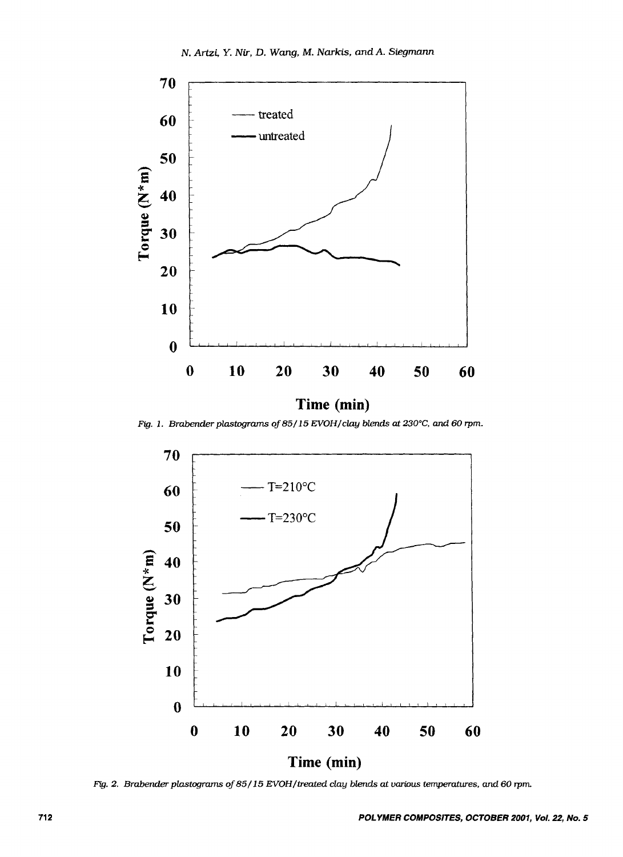

Time (min)

Fig. 1. Brabender plastograms of 85/15 EVOH/clay blends at 230°C, and 60 rpm.



Fig. 2. Brabender plastograms of 85/15 EVOH/treated clay blends at various temperatures, and 60 rpm.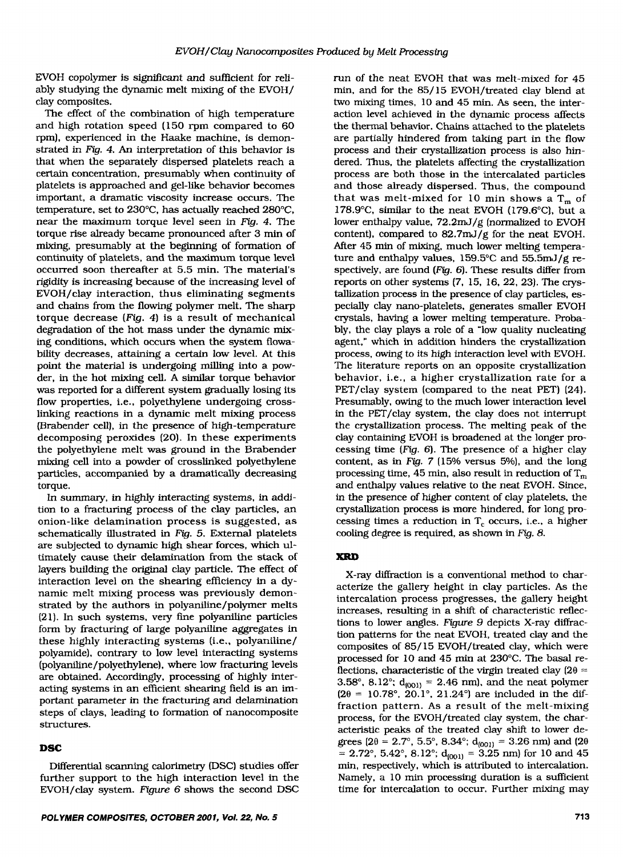EVOH copolymer is significant and sufficient for reliably studying the dynamic melt mixing of the EVOH/ clay composites.

The effect of the combination of high temperature and high rotation speed (150 rpm compared to 60 rpm), experienced in the Haake machine, is demonstrated in *Fig. 4. An* interpretation of this behavior is that when the separately dispersed platelets reach a certain concentration, presumably when continuity of platelets is approached and gel-like behavior becomes important, a dramatic viscosity increase occurs. The temperature, set to 230"C, **has** actually reached 280°C near the maximum torque level seen in *Rg.* 4. The torque rise already became pronounced after 3 min of mixing, presumably at the beginning of formation of continuity of platelets, and the maximum torque level occurred soon thereafter at 5.5 min. The material's rigidity is increasing because of the increasing level of EVOH/clay interaction, thus eliminating segments and chains from the flowing polymer melt. The sharp torque decrease *(Fig.* 4) is a result of mechanical degradation of the hot **mass** under the dynamic *mix*ing conditions, which **occurs** when the system flowability decreases, attaining a certain low level. At *this*  point the material is undergoing milling into a powder, in the hot mixing cell. A similar torque behavior **was** reported for a different system gradually losing its flow properties, i.e., polyethylene undergoing crosslinking reactions in a dynamic melt mixing process (Brabender cell), in the presence of high-temperature decomposing peroxides (20). In these experiments the polyethylene melt was ground in the Brabender mixing cell into a powder of crosslinked polyethylene particles, accompanied by a dramatically decreasing torque.

In summary, in highly interacting systems, in addition to a fracturing process of the clay particles, an onion-like delamination process is suggested, as schematically illustrated in *Fig.* 5. External platelets are subjected to dynamic high shear forces, which ultimately cause their delamination from **the** stack of layers building the original clay particle. The effect of interaction level on the shearing efficiency in a dynamic melt mixing process was previously demonstrated by the authors in polyaniline/polymer melts (21). In such systems, very fine polyaniline particles form by fracturing of large polyaniline aggregates in these highly interacting systems (i.e., polyaniline/ polyamide), contrary to low level interacting systems (polyaniline/polyethylene), where low fracturing levels are obtained. Accordingly, processing of highly interacting systems in an efficient shearing field is an important parameter in the fracturing and delamination steps of clays, leading to formation of nanocomposite structures.

# **DSC**

Differential scanning calorimetry *(DSC)* studies offer further support to the high interaction level in the EVOH/clay system. *Figure* 6 shows the second DSC run of the neat EVOH that was melt-mixed for 45 min, and for the 85/15 EVOH/treated clay blend at two mixing times, 10 and 45 min. *As* seen, the interaction level achieved in the dynamic process affects the thermal behavior. Chains attached to the platelets are partially hindered from taking part in the flow process and their crystallization process is also hindered. Thus, the platelets affecting the crystallization process are both those in the intercalated particles and those already dispersed. Thus, the compound that was melt-mixed for 10 min shows a  $T_m$  of 178.9"C. similar to the neat EVOH (179.6"C), but a lower enthalpy value, 72.2mJ/g (normalized to EVOH content), compared to 82.7mJ/g for the neat EVOH. After 45 min of mixing, much lower melting temperature **and** enthalpy values, 159.5'C and 55.5mJ/g respectively, are found *(Fig.* 6). These results differ from reports on other systems (7, **15,** 16, 22, 23). The *crys*tallization process in the presence **of** clay particles, especially clay nano-platelets, generates smaller EVOH crystals, having a lower melting temperature. Probably, the clay plays **a** role of a "low quality nucleating agent," which in addition hinders the crystallization process, owing to its high interaction level with EVOH. The literature reports on an opposite crystallization behavior, i.e., a higher crystallization rate for a PET/clay system (compared to the neat PET) (24). Presumably, owing to the much lower interaction level in the PET/clay system, the clay does not interrupt the crystallization process. The melting peak of the clay containing EVOH is broadened at the longer processing time *(Fig.* 6). The presence of a higher clay content, as in *Fig.* 7 (15% versus 5%), and the long processing time, 45 min, also result in reduction of  $T_m$ and enthalpy values relative to the neat EVOH. Since, in the presence of higher content of clay platelets, the crystallization process is more hindered, for long processing times a reduction in  $T_c$  occurs, i.e., a higher cooling degree is required, as shown in *Fig.* 8.

# **XRD**

X-ray diffraction is a conventional method to characterize the gallery height in clay particles. As the intercalation process progresses, the gallery height increases, resulting in a shift of characteristic reflections to lower angles. *Figure 9* depicts X-ray diffraction patterns for the neat EVOH, treated clay and the composites of 85/15 EVOH/treated clay, which were processed for 10 and **45** min at 230°C. The basal reflections, characteristic of the virgin treated clay ( $2\theta =$ 3.58°, 8.12°;  $d_{(001)} = 2.46$  nm), and the neat polymer  $(2\theta = 10.78^{\circ}, 20.1^{\circ}, 21.24^{\circ})$  are included in the diffraction pattern. As a result of the melt-mixing process, for the EVOH/treated clay system, the characteristic peaks of the treated day shift to lower degrees ( $2\theta = 2.7^{\circ}$ , 5.5°, 8.34°;  $d_{(001)} = 3.26$  nm) and ( $2\theta$  $= 2.72^{\circ}, 5.42^{\circ}, 8.12^{\circ}; d_{[001]} = 3.25$  nm) for 10 and 45 min, respectively, which is attributed to intercalation. Namely, a 10 min processing duration is a sufficient time for intercalation to occur. Further mixing may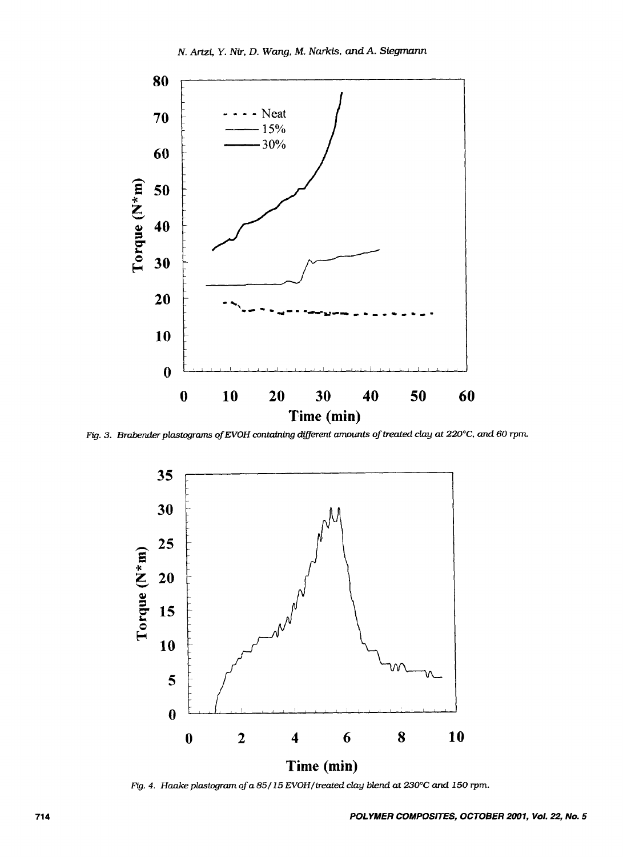

Fig. 3. Brabender plastograms of EVOH containing different amounts of treated clay at 220°C, and 60 rpm.



Fig. 4. Haake plastogram of a 85/15 EVOH/treated clay blend at 230°C and 150 rpm.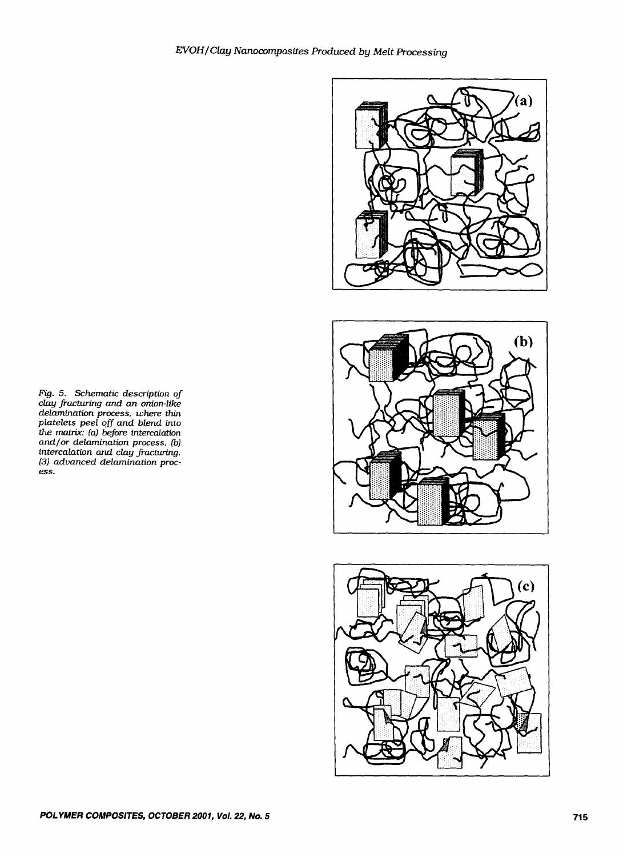$(a)$ 





*Fig. 5. Schematic description of*  **clay** fracturing *and an onion-like delamination process, where thin platelets peel 03 and blend into the* matrix: (4) *before intercalation and/or delamination process.* (b) *intercalation and clay* fracturing. **(3)** *advanced delamination proc- ess.*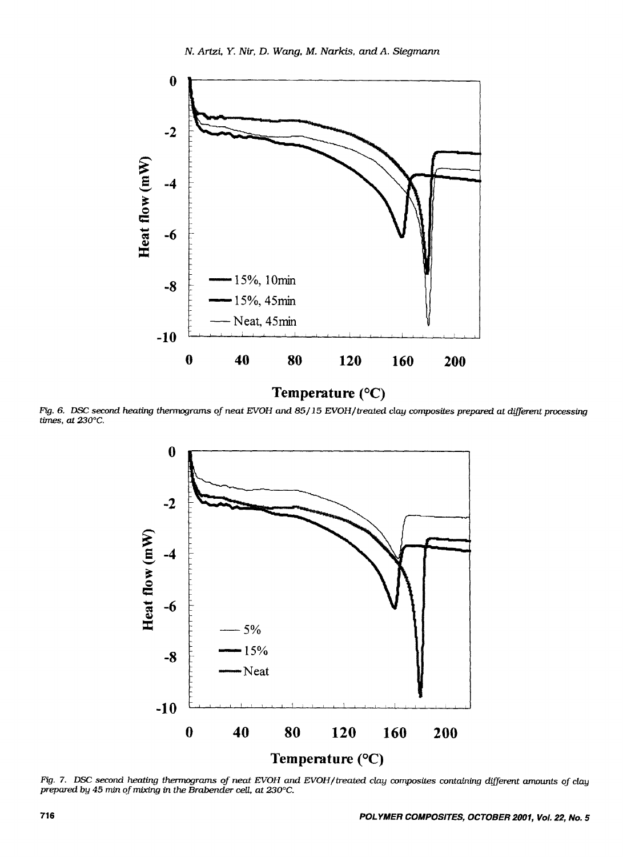

**Temperature** *(OC)* 

*Flg.* **6.** *DSC* **second** *heaw* thermograms *of* **neat EVOH** and *85/ 15 EVOHltreated clay composites prepared at diTerent processing times, at 230°C.* 



*Fig. 7. DSC* **second** *heating* **thermograms** *of neat EVOH and EVOH/treated clay composites containing &#rent* amounts *of* **clay**  *prepared by 45 min of mixing in the Brabender cell, at 230°C.*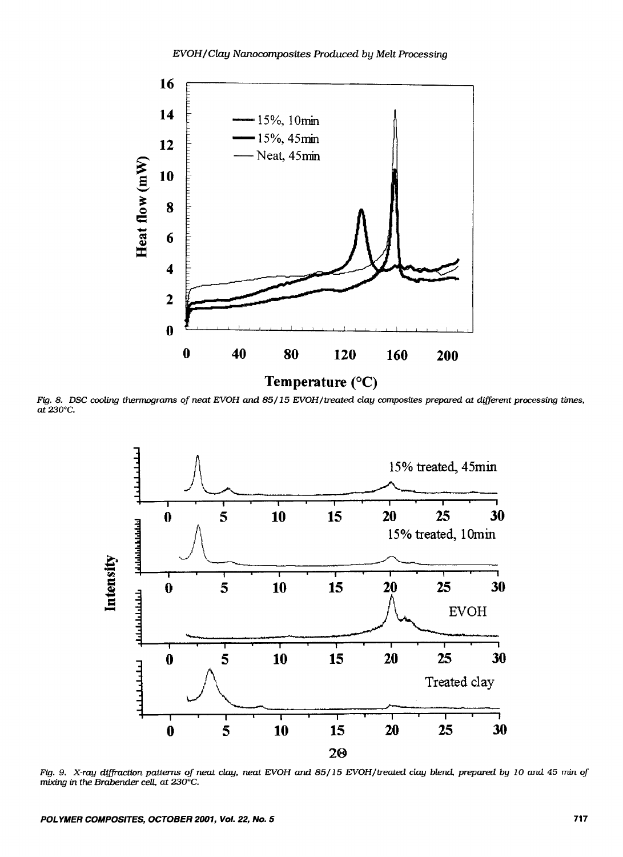

Fig. 8. DSC cooling thermograms of neat EVOH and 85/15 EVOH/treated clay composites prepared at different processing times, at 230°C.



Fig. 9. X-ray diffraction patterns of neat clay, neat EVOH and 85/15 EVOH/treated clay blend, prepared by 10 and 45 min of mixing in the Brabender cell, at 230°C.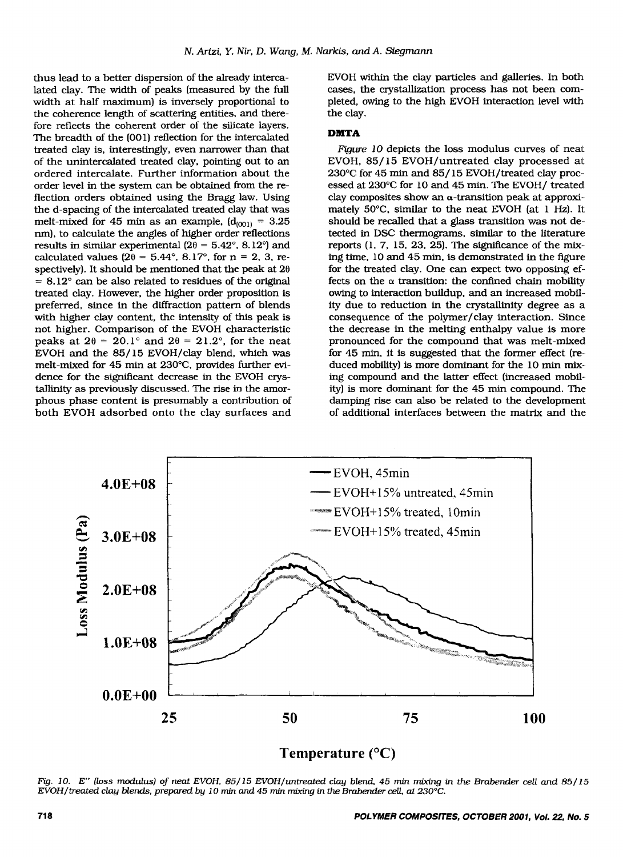thus lead to a better dispersion of the already intercalated clay. The width of peaks (measured by the **full**  width at half maximum) is inversely proportional to the coherence length of scattering entities, and therefore reflects the coherent order of the silicate layers. The breadth of the (001) reflection for the intercalated treated clay is, interestingly, even narrower than that of the unintercalated treated clay, pointing out to an ordered intercalate. Further information about the order level in the system *can* be obtained from the reflection orders obtained using the Bragg law. Using the d-spacing of the intercalated treated clay that was melt-mixed for 45 min as an example,  $(d_{(001)} = 3.25$ nm), to calculate the angles of higher order reflections results in similar experimental  $(2\theta = 5.42^{\circ}, 8.12^{\circ})$  and calculated values ( $2\theta = 5.44^{\circ}$ , 8.17°, for n = 2, 3, respectively). It should be mentioned that the peak at 28  $= 8.12^{\circ}$  can be also related to residues of the original treated clay. However, the higher order proposition is preferred, since in the diffraction pattern of blends with higher clay content, the intensity of this peak is not higher. Comparison of the EVOH characteristic peaks at  $2\theta = 20.1^{\circ}$  and  $2\theta = 21.2^{\circ}$ , for the neat EVOH and the 85/15 EVOH/clay blend, which was melt-mixed for 45 min at 230°C. provides further *evi*dence for the sigmficant decrease in the EVOH crystallinity as previously discussed. The rise in the amorphous phase content is presumably a contribution of both EVOH adsorbed onto the clay surfaces and

EVOH within the clay particles and galleries. In both cases, the crystallization process has not been completed, owing to the high EVOH interaction level with the clay.

## **DMTA**

*Figwe 10* depicts the loss modulus curves of neat EVOH, 85/ 15 EVOH/untreated clay processed at 230°C for 45 min and 85/ 15 EVOH/treated clay processed at *230°C* for 10 and 45 min. The EVOH/ treated clay composites show **an** a-transition peak at approximately 50°C. similar to the neat EVOH (at 1 Hz). It should be recalled that a **glass** transition was not detected in DSC thermograms, similar to the literatwe reports  $(1, 7, 15, 23, 25)$ . The significance of the mixing time, 10 and 45 min, is demonstrated in the figure for the treated clay. One *can* expect two opposing effects on the  $\alpha$  transition: the confined chain mobility owing to interaction buildup, and an increased mobility due to reduction in the crystallinity degree as a consequence of the polymer/clay interaction. Since the decrease in the melting enthalpy value is more pronounced for the compound that was melt-mixed for 45 min, it is suggested that the former effect (reduced mobility) is more dominant for the 10 min mixing compound and the latter effect (increased mobility) is more dominant for the 45 min compound. The damping rise *can* also be related to the development of additional interfaces between the matrix and the



*Rg. 10. E" bss* modulus) *of neat EVOH. 85/15 EVOH/untreated clay bled 45* min **mixing** *in the Brabender cell and 85/15 EVOH/treated clny* blends, *prepared by 10* min *and 45* min *mixing in the Brabender cell, at 230°C.*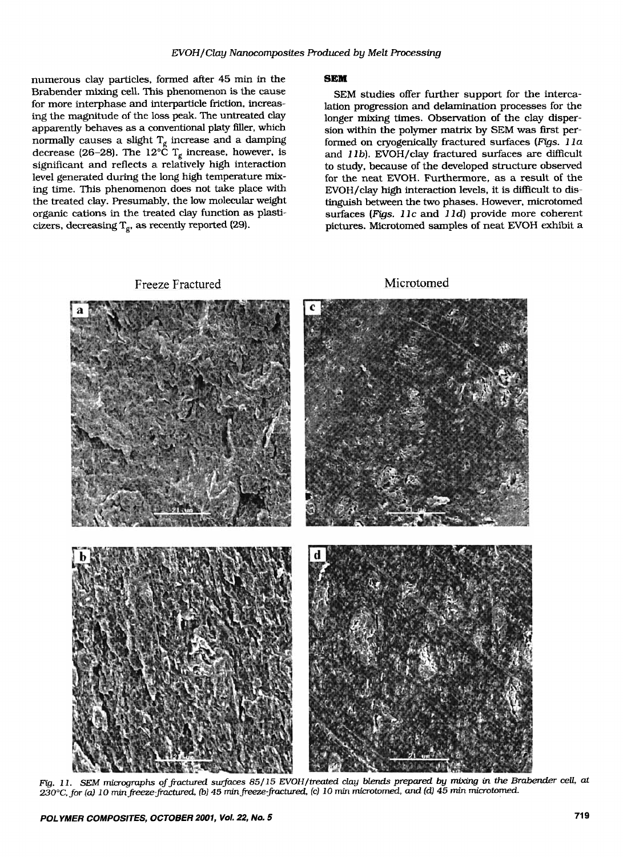numerous clay particles, formed after **45** min *in* the Brabender mixing cell. This phenomenon is the cause for more interphase and interparticle friction, increasing the magnitude **of** the loss peak. The untreated clay apparently behaves as a conventional platy filler, which normally causes a slight  $T_g$  increase and a damping decrease (26-28). The  $12^{\circ}$ C  $T_g$  increase, however, is significant and reflects a relatively high interaction level generated during the long high temperature *mix*ing time. This phenomenon does not take place with the treated clay. Presumably, the low molecular weight organic cations *in* the treated clay function **as** plasticizers, decreasing  $T_g$ , as recently reported (29).

Freeze Fractured

#### **SEM**

**SEM** studies offer further support for the intercalation progression and delamination processes for the longer mixing times. Observation of the clay dispersion within the polymer **matrix** by SEM was first performed on cryogenically fractured surfaces *(Figs. 1 la*  and *11b*). EVOH/clay fractured surfaces are difficult to study, because of the developed structure observed for the neat EVOH. Furthermore, as a result of the EVOH/clay **high** interaction levels, it is difflcult to dis**tinguish** between the **two** phases. However, microtomed surfaces *(Figs. 11 c* and *1 Id)* provide more coherent pictures. Microtomed samples **of** neat EVOH exhibit a

Microtomed



Fig. 11. SEM micrographs of fractured surfaces 85/15 EVOH/treated clay blends prepared by mixing in the Brabender cell, at *230~. for* (4 *10* minfreeze-fractured, @) *45* minfreeze-fractured, *(c) 10* min **microtomed,** *and* **(4** *45* min **microtomed**